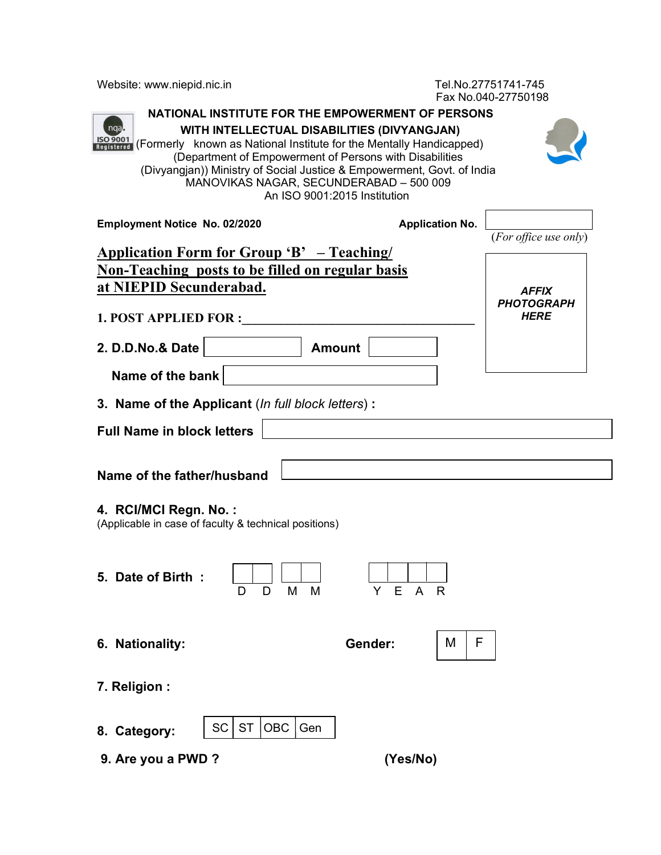Website: www.niepid.nic.in Tel.No.27751741-745

Fax No.040-27750198

| 1 A NU.U + U + Z / / JU I JU<br>NATIONAL INSTITUTE FOR THE EMPOWERMENT OF PERSONS<br>ngal<br>WITH INTELLECTUAL DISABILITIES (DIVYANGJAN)<br><b>ISO 9001</b><br>Registered<br>(Formerly known as National Institute for the Mentally Handicapped)<br>(Department of Empowerment of Persons with Disabilities<br>(Divyangjan)) Ministry of Social Justice & Empowerment, Govt. of India<br>MANOVIKAS NAGAR, SECUNDERABAD - 500 009<br>An ISO 9001:2015 Institution |                        |                                                  |  |  |  |
|------------------------------------------------------------------------------------------------------------------------------------------------------------------------------------------------------------------------------------------------------------------------------------------------------------------------------------------------------------------------------------------------------------------------------------------------------------------|------------------------|--------------------------------------------------|--|--|--|
| Employment Notice No. 02/2020                                                                                                                                                                                                                                                                                                                                                                                                                                    | <b>Application No.</b> | (For office use only)                            |  |  |  |
| <b>Application Form for Group 'B'</b> - Teaching/<br><b>Non-Teaching posts to be filled on regular basis</b><br>at NIEPID Secunderabad.                                                                                                                                                                                                                                                                                                                          |                        |                                                  |  |  |  |
| <b>1. POST APPLIED FOR :</b>                                                                                                                                                                                                                                                                                                                                                                                                                                     |                        | <b>AFFIX</b><br><b>PHOTOGRAPH</b><br><b>HERE</b> |  |  |  |
| 2. D.D.No.& Date<br><b>Amount</b>                                                                                                                                                                                                                                                                                                                                                                                                                                |                        |                                                  |  |  |  |
| Name of the bank                                                                                                                                                                                                                                                                                                                                                                                                                                                 |                        |                                                  |  |  |  |
| 3. Name of the Applicant (In full block letters):                                                                                                                                                                                                                                                                                                                                                                                                                |                        |                                                  |  |  |  |
| <b>Full Name in block letters</b>                                                                                                                                                                                                                                                                                                                                                                                                                                |                        |                                                  |  |  |  |
| Name of the father/husband                                                                                                                                                                                                                                                                                                                                                                                                                                       |                        |                                                  |  |  |  |
| 4. RCI/MCI Regn. No.:<br>(Applicable in case of faculty & technical positions)                                                                                                                                                                                                                                                                                                                                                                                   |                        |                                                  |  |  |  |
| 5. Date of Birth:<br>M<br>M<br>Y.<br>Е<br>A R<br>D<br>D                                                                                                                                                                                                                                                                                                                                                                                                          |                        |                                                  |  |  |  |
| 6. Nationality:                                                                                                                                                                                                                                                                                                                                                                                                                                                  | F<br>M<br>Gender:      |                                                  |  |  |  |
| 7. Religion :                                                                                                                                                                                                                                                                                                                                                                                                                                                    |                        |                                                  |  |  |  |
| <b>ST</b><br><b>OBC</b><br><b>SC</b><br>Gen<br>8. Category:                                                                                                                                                                                                                                                                                                                                                                                                      |                        |                                                  |  |  |  |
| 9. Are you a PWD ?                                                                                                                                                                                                                                                                                                                                                                                                                                               | (Yes/No)               |                                                  |  |  |  |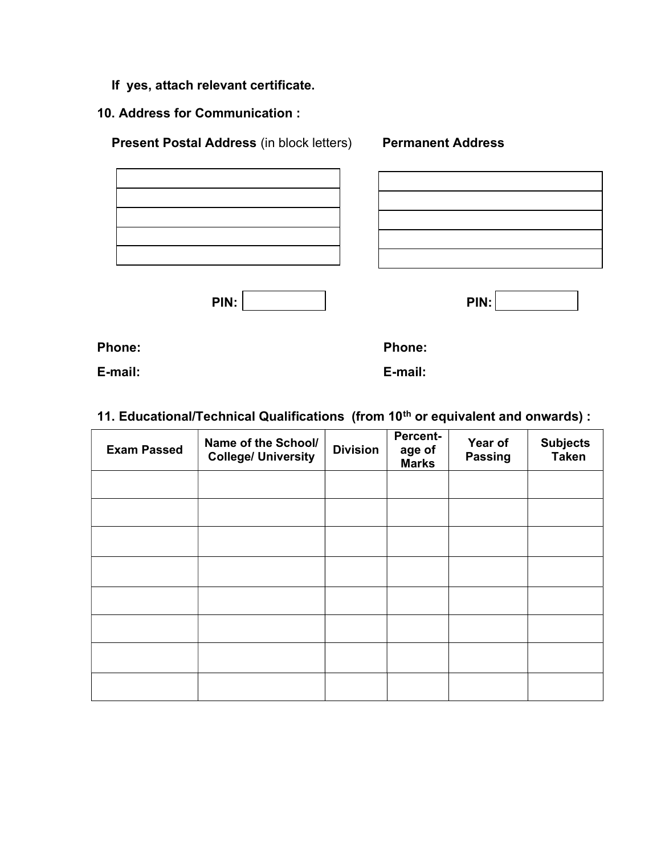- If yes, attach relevant certificate.
- 10. Address for Communication :

Present Postal Address (in block letters) Permanent Address

| ,我们也不会有什么?""我们的人,我们也不会有什么?""我们的人,我们也不会有什么?""我们的人,我们也不会有什么?""我们的人,我们也不会有什么?""我们的人 |  |
|----------------------------------------------------------------------------------|--|
|                                                                                  |  |

PIN:

| . . |  |
|-----|--|
|-----|--|

Phone: Phone: Phone: Phone: Phone: Phone: Phone: Phone: Phone: Phone: Phone: Phone: Phone: Phone: Phone: Phone: Phone: Phone: Phone: Phone: Phone: Phone: Phone: Phone: Phone: Phone: Phone: Phone: Phone: Phone: Phone: Phone

E-mail: E-mail:

# 11. Educational/Technical Qualifications (from 10<sup>th</sup> or equivalent and onwards) :

| <b>Exam Passed</b> | Name of the School/<br><b>College/ University</b> | <b>Division</b> | Percent-<br>age of<br><b>Marks</b> | Year of<br><b>Passing</b> | Subjects<br>Taken |
|--------------------|---------------------------------------------------|-----------------|------------------------------------|---------------------------|-------------------|
|                    |                                                   |                 |                                    |                           |                   |
|                    |                                                   |                 |                                    |                           |                   |
|                    |                                                   |                 |                                    |                           |                   |
|                    |                                                   |                 |                                    |                           |                   |
|                    |                                                   |                 |                                    |                           |                   |
|                    |                                                   |                 |                                    |                           |                   |
|                    |                                                   |                 |                                    |                           |                   |
|                    |                                                   |                 |                                    |                           |                   |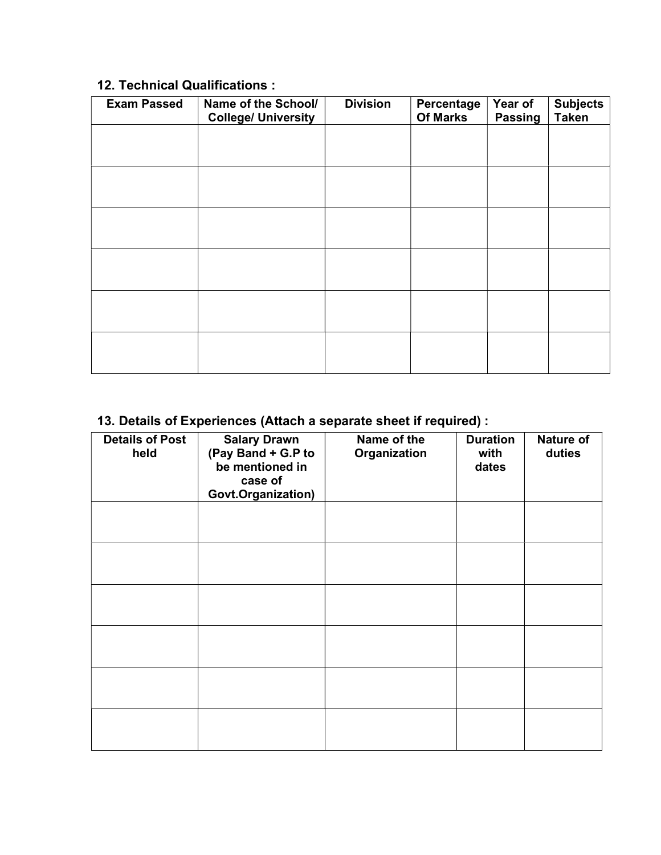## 12. Technical Qualifications :

| <b>Exam Passed</b> | Name of the School/<br><b>College/ University</b> | <b>Division</b> | Percentage<br>Of Marks | Year of<br><b>Passing</b> | <b>Subjects</b><br><b>Taken</b> |
|--------------------|---------------------------------------------------|-----------------|------------------------|---------------------------|---------------------------------|
|                    |                                                   |                 |                        |                           |                                 |
|                    |                                                   |                 |                        |                           |                                 |
|                    |                                                   |                 |                        |                           |                                 |
|                    |                                                   |                 |                        |                           |                                 |
|                    |                                                   |                 |                        |                           |                                 |
|                    |                                                   |                 |                        |                           |                                 |
|                    |                                                   |                 |                        |                           |                                 |
|                    |                                                   |                 |                        |                           |                                 |
|                    |                                                   |                 |                        |                           |                                 |
|                    |                                                   |                 |                        |                           |                                 |
|                    |                                                   |                 |                        |                           |                                 |
|                    |                                                   |                 |                        |                           |                                 |

## 13. Details of Experiences (Attach a separate sheet if required) :

| <b>Details of Post</b><br>held | <b>Salary Drawn</b><br>(Pay Band + G.P to<br>be mentioned in<br>case of<br>Govt.Organization) | Name of the<br>Organization | <b>Duration</b><br>with<br>dates | Nature of<br>duties |
|--------------------------------|-----------------------------------------------------------------------------------------------|-----------------------------|----------------------------------|---------------------|
|                                |                                                                                               |                             |                                  |                     |
|                                |                                                                                               |                             |                                  |                     |
|                                |                                                                                               |                             |                                  |                     |
|                                |                                                                                               |                             |                                  |                     |
|                                |                                                                                               |                             |                                  |                     |
|                                |                                                                                               |                             |                                  |                     |